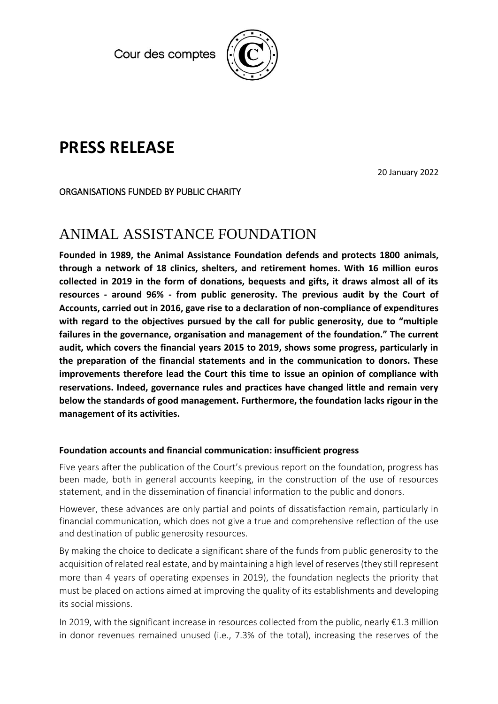Cour des comptes



# **PRESS RELEASE**

20 January 2022

### ORGANISATIONS FUNDED BY PUBLIC CHARITY

## ANIMAL ASSISTANCE FOUNDATION

**Founded in 1989, the Animal Assistance Foundation defends and protects 1800 animals, through a network of 18 clinics, shelters, and retirement homes. With 16 million euros collected in 2019 in the form of donations, bequests and gifts, it draws almost all of its resources - around 96% - from public generosity. The previous audit by the Court of Accounts, carried out in 2016, gave rise to a declaration of non-compliance of expenditures with regard to the objectives pursued by the call for public generosity, due to "multiple failures in the governance, organisation and management of the foundation." The current audit, which covers the financial years 2015 to 2019, shows some progress, particularly in the preparation of the financial statements and in the communication to donors. These improvements therefore lead the Court this time to issue an opinion of compliance with reservations. Indeed, governance rules and practices have changed little and remain very below the standards of good management. Furthermore, the foundation lacks rigour in the management of its activities.**

#### **Foundation accounts and financial communication: insufficient progress**

Five years after the publication of the Court's previous report on the foundation, progress has been made, both in general accounts keeping, in the construction of the use of resources statement, and in the dissemination of financial information to the public and donors.

However, these advances are only partial and points of dissatisfaction remain, particularly in financial communication, which does not give a true and comprehensive reflection of the use and destination of public generosity resources.

By making the choice to dedicate a significant share of the funds from public generosity to the acquisition of related real estate, and by maintaining a high level of reserves (they still represent more than 4 years of operating expenses in 2019), the foundation neglects the priority that must be placed on actions aimed at improving the quality of its establishments and developing its social missions.

In 2019, with the significant increase in resources collected from the public, nearly  $\epsilon$ 1.3 million in donor revenues remained unused (i.e., 7.3% of the total), increasing the reserves of the